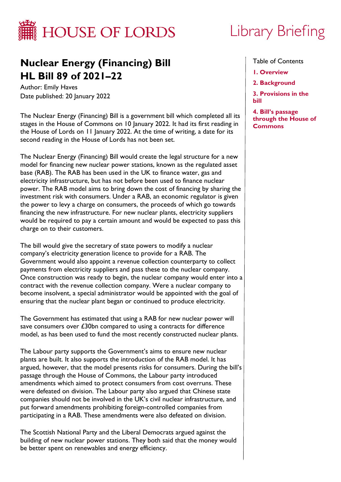

# **Nuclear Energy (Financing) Bill HL Bill 89 of 2021–22**

Author: Emily Haves Date published: 20 January 2022

The Nuclear Energy (Financing) Bill is a government bill which completed all its stages in the House of Commons on 10 January 2022. It had its first reading in the House of Lords on 11 January 2022. At the time of writing, a date for its second reading in the House of Lords has not been set.

The Nuclear Energy (Financing) Bill would create the legal structure for a new model for financing new nuclear power stations, known as the regulated asset base (RAB). The RAB has been used in the UK to finance water, gas and electricity infrastructure, but has not before been used to finance nuclear power. The RAB model aims to bring down the cost of financing by sharing the investment risk with consumers. Under a RAB, an economic regulator is given the power to levy a charge on consumers, the proceeds of which go towards financing the new infrastructure. For new nuclear plants, electricity suppliers would be required to pay a certain amount and would be expected to pass this charge on to their customers.

The bill would give the secretary of state powers to modify a nuclear company's electricity generation licence to provide for a RAB. The Government would also appoint a revenue collection counterparty to collect payments from electricity suppliers and pass these to the nuclear company. Once construction was ready to begin, the nuclear company would enter into a contract with the revenue collection company. Were a nuclear company to become insolvent, a special administrator would be appointed with the goal of ensuring that the nuclear plant began or continued to produce electricity.

The Government has estimated that using a RAB for new nuclear power will save consumers over £30bn compared to using a contracts for difference model, as has been used to fund the most recently constructed nuclear plants.

The Labour party supports the Government's aims to ensure new nuclear plants are built. It also supports the introduction of the RAB model. It has argued, however, that the model presents risks for consumers. During the bill's passage through the House of Commons, the Labour party introduced amendments which aimed to protect consumers from cost overruns. These were defeated on division. The Labour party also argued that Chinese state companies should not be involved in the UK's civil nuclear infrastructure, and put forward amendments prohibiting foreign-controlled companies from participating in a RAB. These amendments were also defeated on division.

The Scottish National Party and the Liberal Democrats argued against the building of new nuclear power stations. They both said that the money would be better spent on renewables and energy efficiency.

# Library Briefing

Table of Contents

- **[1. Overview](#page-2-0)**
- **[2. Background](#page-4-0)**

**[3. Provisions in the](#page-5-0)  bill**

**4. Bill's passage [through the House of](#page-11-0)  Commons**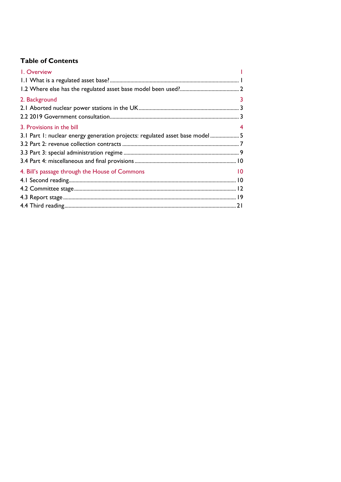# **Table of Contents**

| I. Overview                                                                   |                 |
|-------------------------------------------------------------------------------|-----------------|
|                                                                               |                 |
|                                                                               |                 |
| 2. Background                                                                 | 3               |
|                                                                               |                 |
|                                                                               |                 |
| 3. Provisions in the bill                                                     |                 |
| 3.1 Part 1: nuclear energy generation projects: regulated asset base model  5 |                 |
|                                                                               |                 |
|                                                                               |                 |
|                                                                               |                 |
| 4. Bill's passage through the House of Commons                                | $\overline{10}$ |
|                                                                               |                 |
|                                                                               |                 |
|                                                                               |                 |
|                                                                               |                 |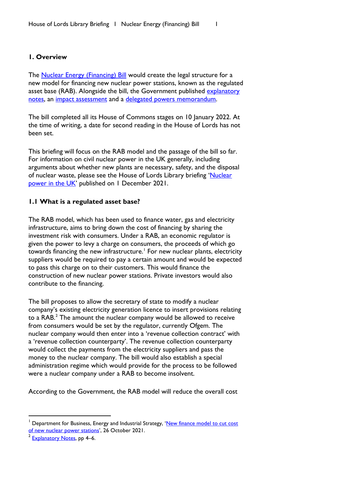#### <span id="page-2-1"></span><span id="page-2-0"></span>**1. Overview**

The [Nuclear Energy \(Financing\) Bill](https://bills.parliament.uk/bills/3057) would create the legal structure for a new model for financing new nuclear power stations, known as the regulated asset base (RAB). Alongside the bill, the Government published explanatory [notes,](https://bills.parliament.uk/publications/44587/documents/1222) an [impact assessment](https://publications.parliament.uk/pa/bills/cbill/58-02/0174/ImpactAssessment.pdf) and a [delegated powers memorandum.](https://bills.parliament.uk/publications/44580/documents/1216)

The bill completed all its House of Commons stages on 10 January 2022. At the time of writing, a date for second reading in the House of Lords has not been set.

This briefing will focus on the RAB model and the passage of the bill so far. For information on civil nuclear power in the UK generally, including arguments about whether new plants are necessary, safety, and the disposal of nuclear waste, please see the House of Lords Library briefing 'Nuclear [power in the UK'](https://lordslibrary.parliament.uk/nuclear-power-in-the-uk/) published on 1 December 2021.

#### <span id="page-2-2"></span>**1.1 What is a regulated asset base?**

The RAB model, which has been used to finance water, gas and electricity infrastructure, aims to bring down the cost of financing by sharing the investment risk with consumers. Under a RAB, an economic regulator is given the power to levy a charge on consumers, the proceeds of which go towards financing the new infrastructure.<sup>[1](#page-2-3)</sup> For new nuclear plants, electricity suppliers would be required to pay a certain amount and would be expected to pass this charge on to their customers. This would finance the construction of new nuclear power stations. Private investors would also contribute to the financing.

The bill proposes to allow the secretary of state to modify a nuclear company's existing electricity generation licence to insert provisions relating to a  $\mathsf{RAB}^2$  $\mathsf{RAB}^2$  The amount the nuclear company would be allowed to receive from consumers would be set by the regulator, currently Ofgem. The nuclear company would then enter into a 'revenue collection contract' with a 'revenue collection counterparty'. The revenue collection counterparty would collect the payments from the electricity suppliers and pass the money to the nuclear company. The bill would also establish a special administration regime which would provide for the process to be followed were a nuclear company under a RAB to become insolvent.

According to the Government, the RAB model will reduce the overall cost

<span id="page-2-3"></span>Department for Business, Energy and Industrial Strategy, 'New finance model to cut cost [of new nuclear power stations'](https://www.gov.uk/government/news/new-finance-model-to-cut-cost-of-new-nuclear-power-stations), 26 October 2021.

<span id="page-2-4"></span>[Explanatory Notes,](https://bills.parliament.uk/publications/44587/documents/1222) pp 4–6.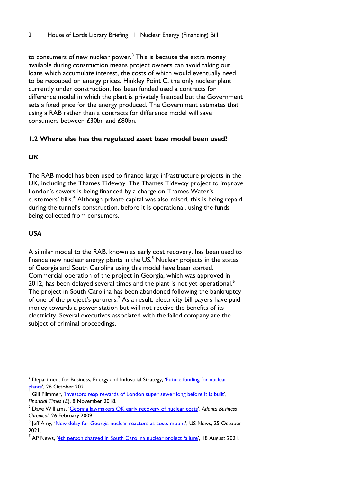to consumers of new nuclear power.<sup>[3](#page-3-1)</sup> This is because the extra money available during construction means project owners can avoid taking out loans which accumulate interest, the costs of which would eventually need to be recouped on energy prices. Hinkley Point C, the only nuclear plant currently under construction, has been funded used a contracts for difference model in which the plant is privately financed but the Government sets a fixed price for the energy produced. The Government estimates that using a RAB rather than a contracts for difference model will save consumers between £30bn and £80bn.

# <span id="page-3-0"></span>**1.2 Where else has the regulated asset base model been used?**

# *UK*

The RAB model has been used to finance large infrastructure projects in the UK, including the Thames Tideway. The Thames Tideway project to improve London's sewers is being financed by a charge on Thames Water's customers' bills.<sup>[4](#page-3-2)</sup> Although private capital was also raised, this is being repaid during the tunnel's construction, before it is operational, using the funds being collected from consumers.

# *USA*

A similar model to the RAB, known as early cost recovery, has been used to finance new nuclear energy plants in the  $US^5$  $US^5$  Nuclear projects in the states of Georgia and South Carolina using this model have been started. Commercial operation of the project in Georgia, which was approved in 2012, has been delayed several times and the plant is not yet operational.<sup>6</sup> The project in South Carolina has been abandoned following the bankruptcy of one of the project's partners.<sup>[7](#page-3-5)</sup> As a result, electricity bill payers have paid money towards a power station but will not receive the benefits of its electricity. Several executives associated with the failed company are the subject of criminal proceedings.

<span id="page-3-1"></span><sup>&</sup>lt;sup>3</sup> Department for Business, Energy and Industrial Strategy, 'Future funding for nuclear [plants',](https://www.gov.uk/government/news/future-funding-for-nuclear-plants) 26 October 2021.

<span id="page-3-2"></span>Gill Plimmer, ['Investors reap rewards of London super sewer long before it is built',](https://www.ft.com/content/32f0a802-d6bc-11e8-ab8e-6be0dcf18713) *Financial Times* (£), 8 November 2018.

<span id="page-3-3"></span><sup>5</sup> Dave Williams, ['Georgia lawmakers OK early recovery of nuclear costs',](https://www.bizjournals.com/atlanta/stories/2009/02/23/daily85.html) *Atlanta Business Chronical*, 26 February 2009.

<span id="page-3-4"></span><sup>&</sup>lt;sup>6</sup> Jeff Amy, ['New delay for Georgia nuclear reactors as costs mount',](https://www.usnews.com/news/best-states/georgia/articles/2021-10-25/new-delay-for-georgia-nuclear-reactors-as-costs-mount) US News, 25 October 2021.

<span id="page-3-5"></span><sup>7</sup> AP News, '<u>4th person charged in South Carolina nuclear project failure</u>', 18 August 2021.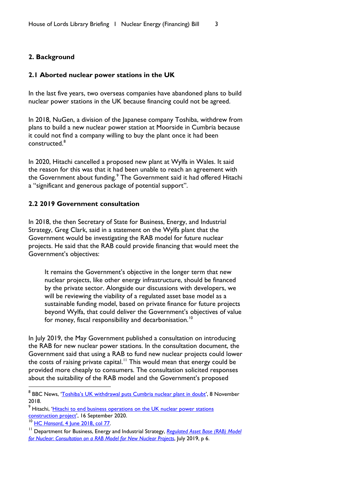#### <span id="page-4-1"></span><span id="page-4-0"></span>**2. Background**

#### <span id="page-4-2"></span>**2.1 Aborted nuclear power stations in the UK**

In the last five years, two overseas companies have abandoned plans to build nuclear power stations in the UK because financing could not be agreed.

In 2018, NuGen, a division of the Japanese company Toshiba, withdrew from plans to build a new nuclear power station at Moorside in Cumbria because it could not find a company willing to buy the plant once it had been constructed.[8](#page-4-4)

In 2020, Hitachi cancelled a proposed new plant at Wylfa in Wales. It said the reason for this was that it had been unable to reach an agreement with the Government about funding.<sup>[9](#page-4-5)</sup> The Government said it had offered Hitachi a "significant and generous package of potential support".

#### <span id="page-4-3"></span>**2.2 2019 Government consultation**

In 2018, the then Secretary of State for Business, Energy, and Industrial Strategy, Greg Clark, said in a statement on the Wylfa plant that the Government would be investigating the RAB model for future nuclear projects. He said that the RAB could provide financing that would meet the Government's objectives:

It remains the Government's objective in the longer term that new nuclear projects, like other energy infrastructure, should be financed by the private sector. Alongside our discussions with developers, we will be reviewing the viability of a regulated asset base model as a sustainable funding model, based on private finance for future projects beyond Wylfa, that could deliver the Government's objectives of value for money, fiscal responsibility and decarbonisation.<sup>[10](#page-4-6)</sup>

In July 2019, the May Government published a consultation on introducing the RAB for new nuclear power stations. In the consultation document, the Government said that using a RAB to fund new nuclear projects could lower the costs of raising private capital.<sup>[11](#page-4-7)</sup> This would mean that energy could be provided more cheaply to consumers. The consultation solicited responses about the suitability of the RAB model and the Government's proposed

<span id="page-4-4"></span><sup>&</sup>lt;sup>8</sup> BBC News, ['Toshiba's UK withdrawal puts Cumbria nuclear plant in doubt'](https://www.bbc.co.uk/news/business-46122255), 8 November 2018.

<span id="page-4-5"></span><sup>&</sup>lt;sup>9</sup> Hitachi, 'Hitachi to end business operations on the UK nuclear power stations [construction project'](https://www.hitachi.eu/en/hitachi-uk-end-nuclear-power-stations), 16 September 2020.

<span id="page-4-6"></span><sup>10</sup> HC Hansard[, 4 June 2018, col 77.](https://hansard.parliament.uk/Commons/2018-06-04/debates/5841DAA8-85CF-4CDE-AEA6-3116517D53BC/NuclearPower#contribution-0FF13D35-08A3-4E0A-BD4D-9DBF37C3BB85)

<span id="page-4-7"></span><sup>&</sup>lt;sup>11</sup> Department for Business, Energy and Industrial Strategy, Regulated Asset Base (RAB) Model *[for Nuclear: Consultation on a RAB Model for New Nuclear Projects](https://assets.publishing.service.gov.uk/government/uploads/system/uploads/attachment_data/file/943746/rab-model-for-nuclear-consultation-.pdf)*, July 2019, p 6.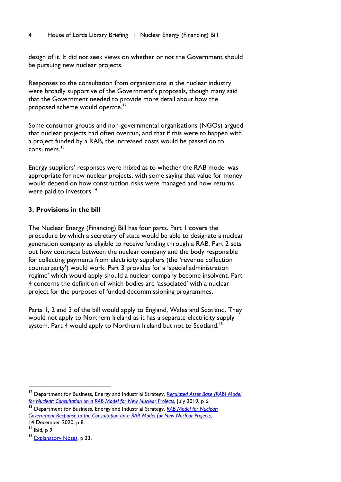#### <span id="page-5-0"></span>4 House of Lords Library Briefing I Nuclear Energy (Financing) Bill

design of it. It did not seek views on whether or not the Government should be pursuing new nuclear projects.

Responses to the consultation from organisations in the nuclear industry were broadly supportive of the Government's proposals, though many said that the Government needed to provide more detail about how the proposed scheme would operate.<sup>[12](#page-5-2)</sup>

Some consumer groups and non-governmental organisations (NGOs) argued that nuclear projects had often overrun, and that if this were to happen with a project funded by a RAB, the increased costs would be passed on to consumers. [13](#page-5-3)

Energy suppliers' responses were mixed as to whether the RAB model was appropriate for new nuclear projects, with some saying that value for money would depend on how construction risks were managed and how returns were paid to investors.<sup>[14](#page-5-4)</sup>

# <span id="page-5-1"></span>**3. Provisions in the bill**

The Nuclear Energy (Financing) Bill has four parts. Part 1 covers the procedure by which a secretary of state would be able to designate a nuclear generation company as eligible to receive funding through a RAB. Part 2 sets out how contracts between the nuclear company and the body responsible for collecting payments from electricity suppliers (the 'revenue collection counterparty') would work. Part 3 provides for a 'special administration regime' which would apply should a nuclear company become insolvent. Part 4 concerns the definition of which bodies are 'associated' with a nuclear project for the purposes of funded decommissioning programmes.

Parts 1, 2 and 3 of the bill would apply to England, Wales and Scotland. They would not apply to Northern Ireland as it has a separate electricity supply system. Part 4 would apply to Northern Ireland but not to Scotland.<sup>[15](#page-5-5)</sup>

14 December 2020, p 8.

<span id="page-5-2"></span><sup>&</sup>lt;sup>12</sup> Department for Business, Energy and Industrial Strategy, Regulated Asset Base (RAB) Model *[for Nuclear: Consultation on a RAB Model for New Nuclear Projects](https://assets.publishing.service.gov.uk/government/uploads/system/uploads/attachment_data/file/943746/rab-model-for-nuclear-consultation-.pdf)*, July 2019, p 6.

<span id="page-5-3"></span><sup>&</sup>lt;sup>13</sup> Department for Business, Energy and Industrial Strategy, RAB Model for Nuclear: *[Government Response to the Consultation on a RAB Model for New Nuclear Projects](https://assets.publishing.service.gov.uk/government/uploads/system/uploads/attachment_data/file/943762/Nuclear_RAB_Consultation_Government_Response-.pdf)*,

<span id="page-5-4"></span> $14$  ibid, p 9.

<span id="page-5-5"></span><sup>&</sup>lt;sup>15</sup> [Explanatory Notes,](https://bills.parliament.uk/publications/44587/documents/1222) p 33.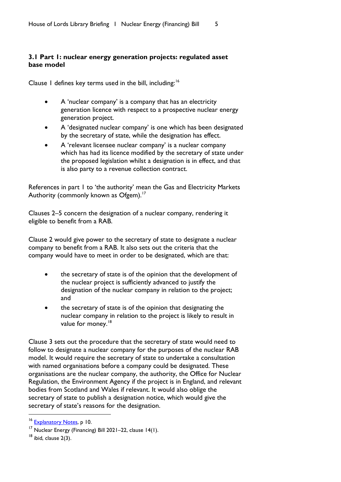# <span id="page-6-0"></span>**3.1 Part 1: nuclear energy generation projects: regulated asset base model**

Clause 1 defines key terms used in the bill, including:<sup>[16](#page-6-1)</sup>

- A 'nuclear company' is a company that has an electricity generation licence with respect to a prospective nuclear energy generation project.
- A 'designated nuclear company' is one which has been designated by the secretary of state, while the designation has effect.
- A 'relevant licensee nuclear company' is a nuclear company which has had its licence modified by the secretary of state under the proposed legislation whilst a designation is in effect, and that is also party to a revenue collection contract.

References in part 1 to 'the authority' mean the Gas and Electricity Markets Authority (commonly known as Ofgem).<sup>[17](#page-6-2)</sup>

Clauses 2–5 concern the designation of a nuclear company, rendering it eligible to benefit from a RAB.

Clause 2 would give power to the secretary of state to designate a nuclear company to benefit from a RAB. It also sets out the criteria that the company would have to meet in order to be designated, which are that:

- the secretary of state is of the opinion that the development of the nuclear project is sufficiently advanced to justify the designation of the nuclear company in relation to the project; and
- the secretary of state is of the opinion that designating the nuclear company in relation to the project is likely to result in value for money.<sup>[18](#page-6-3)</sup>

Clause 3 sets out the procedure that the secretary of state would need to follow to designate a nuclear company for the purposes of the nuclear RAB model. It would require the secretary of state to undertake a consultation with named organisations before a company could be designated. These organisations are the nuclear company, the authority, the Office for Nuclear Regulation, the Environment Agency if the project is in England, and relevant bodies from Scotland and Wales if relevant. It would also oblige the secretary of state to publish a designation notice, which would give the secretary of state's reasons for the designation.

<span id="page-6-1"></span><sup>&</sup>lt;sup>16</sup> [Explanatory Notes,](https://bills.parliament.uk/publications/44587/documents/1222) p 10.

<span id="page-6-2"></span><sup>17</sup> Nuclear Energy (Financing) Bill 2021–22, clause 14(1).

<span id="page-6-3"></span> $18$  ibid, clause 2(3).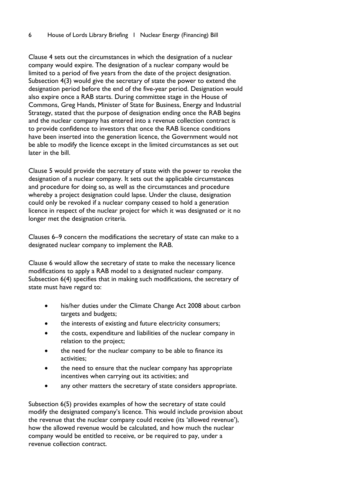Clause 4 sets out the circumstances in which the designation of a nuclear company would expire. The designation of a nuclear company would be limited to a period of five years from the date of the project designation. Subsection 4(3) would give the secretary of state the power to extend the designation period before the end of the five-year period. Designation would also expire once a RAB starts. During committee stage in the House of Commons, Greg Hands, Minister of State for Business, Energy and Industrial Strategy, stated that the purpose of designation ending once the RAB begins and the nuclear company has entered into a revenue collection contract is to provide confidence to investors that once the RAB licence conditions have been inserted into the generation licence, the Government would not be able to modify the licence except in the limited circumstances as set out later in the bill.

Clause 5 would provide the secretary of state with the power to revoke the designation of a nuclear company. It sets out the applicable circumstances and procedure for doing so, as well as the circumstances and procedure whereby a project designation could lapse. Under the clause, designation could only be revoked if a nuclear company ceased to hold a generation licence in respect of the nuclear project for which it was designated or it no longer met the designation criteria.

Clauses 6–9 concern the modifications the secretary of state can make to a designated nuclear company to implement the RAB.

Clause 6 would allow the secretary of state to make the necessary licence modifications to apply a RAB model to a designated nuclear company. Subsection 6(4) specifies that in making such modifications, the secretary of state must have regard to:

- his/her duties under the Climate Change Act 2008 about carbon targets and budgets;
- the interests of existing and future electricity consumers;
- the costs, expenditure and liabilities of the nuclear company in relation to the project;
- the need for the nuclear company to be able to finance its activities;
- the need to ensure that the nuclear company has appropriate incentives when carrying out its activities; and
- any other matters the secretary of state considers appropriate.

Subsection 6(5) provides examples of how the secretary of state could modify the designated company's licence. This would include provision about the revenue that the nuclear company could receive (its 'allowed revenue'), how the allowed revenue would be calculated, and how much the nuclear company would be entitled to receive, or be required to pay, under a revenue collection contract.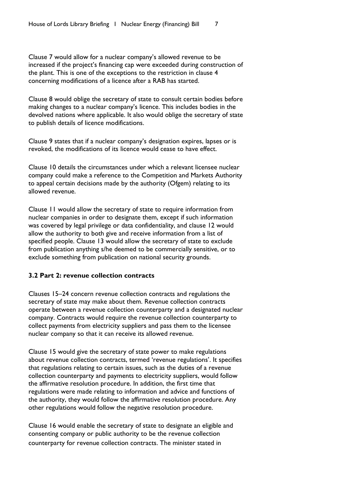Clause 7 would allow for a nuclear company's allowed revenue to be increased if the project's financing cap were exceeded during construction of the plant. This is one of the exceptions to the restriction in clause 4 concerning modifications of a licence after a RAB has started.

Clause 8 would oblige the secretary of state to consult certain bodies before making changes to a nuclear company's licence. This includes bodies in the devolved nations where applicable. It also would oblige the secretary of state to publish details of licence modifications.

Clause 9 states that if a nuclear company's designation expires, lapses or is revoked, the modifications of its licence would cease to have effect.

Clause 10 details the circumstances under which a relevant licensee nuclear company could make a reference to the Competition and Markets Authority to appeal certain decisions made by the authority (Ofgem) relating to its allowed revenue.

Clause 11 would allow the secretary of state to require information from nuclear companies in order to designate them, except if such information was covered by legal privilege or data confidentiality, and clause 12 would allow the authority to both give and receive information from a list of specified people. Clause 13 would allow the secretary of state to exclude from publication anything s/he deemed to be commercially sensitive, or to exclude something from publication on national security grounds.

#### <span id="page-8-0"></span>**3.2 Part 2: revenue collection contracts**

Clauses 15–24 concern revenue collection contracts and regulations the secretary of state may make about them. Revenue collection contracts operate between a revenue collection counterparty and a designated nuclear company. Contracts would require the revenue collection counterparty to collect payments from electricity suppliers and pass them to the licensee nuclear company so that it can receive its allowed revenue.

Clause 15 would give the secretary of state power to make regulations about revenue collection contracts, termed 'revenue regulations'. It specifies that regulations relating to certain issues, such as the duties of a revenue collection counterparty and payments to electricity suppliers, would follow the affirmative resolution procedure. In addition, the first time that regulations were made relating to information and advice and functions of the authority, they would follow the affirmative resolution procedure. Any other regulations would follow the negative resolution procedure.

Clause 16 would enable the secretary of state to designate an eligible and consenting company or public authority to be the revenue collection counterparty for revenue collection contracts. The minister stated in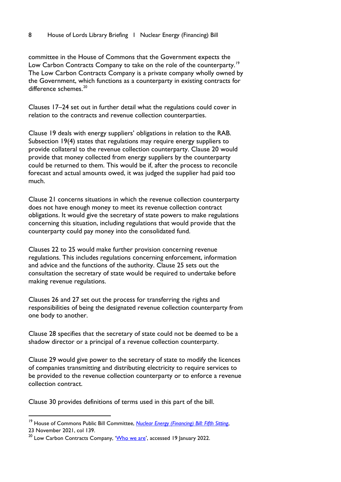committee in the House of Commons that the Government expects the Low Carbon Contracts Company to take on the role of the counterparty.<sup>[19](#page-9-0)</sup> The Low Carbon Contracts Company is a private company wholly owned by the Government, which functions as a counterparty in existing contracts for  $d$ ifference schemes<sup>[20](#page-9-1)</sup>

Clauses 17–24 set out in further detail what the regulations could cover in relation to the contracts and revenue collection counterparties.

Clause 19 deals with energy suppliers' obligations in relation to the RAB. Subsection 19(4) states that regulations may require energy suppliers to provide collateral to the revenue collection counterparty. Clause 20 would provide that money collected from energy suppliers by the counterparty could be returned to them. This would be if, after the process to reconcile forecast and actual amounts owed, it was judged the supplier had paid too much.

Clause 21 concerns situations in which the revenue collection counterparty does not have enough money to meet its revenue collection contract obligations. It would give the secretary of state powers to make regulations concerning this situation, including regulations that would provide that the counterparty could pay money into the consolidated fund.

Clauses 22 to 25 would make further provision concerning revenue regulations. This includes regulations concerning enforcement, information and advice and the functions of the authority. Clause 25 sets out the consultation the secretary of state would be required to undertake before making revenue regulations.

Clauses 26 and 27 set out the process for transferring the rights and responsibilities of being the designated revenue collection counterparty from one body to another.

Clause 28 specifies that the secretary of state could not be deemed to be a shadow director or a principal of a revenue collection counterparty.

Clause 29 would give power to the secretary of state to modify the licences of companies transmitting and distributing electricity to require services to be provided to the revenue collection counterparty or to enforce a revenue collection contract.

Clause 30 provides definitions of terms used in this part of the bill.

<span id="page-9-0"></span><sup>19</sup> House of Commons Public Bill Committee, *[Nuclear Energy \(Financing\) Bill: Fifth Sitting](https://hansard.parliament.uk/pdf/commons/2021-11-23/ddd1853e-2fd1-4658-bc88-cb5eeaf0e687)*, 23 November 2021, col 139.

<span id="page-9-1"></span><sup>&</sup>lt;sup>20</sup> Low Carbon Contracts Company, ['Who we are',](https://www.lowcarboncontracts.uk/who-we-are) accessed 19 January 2022.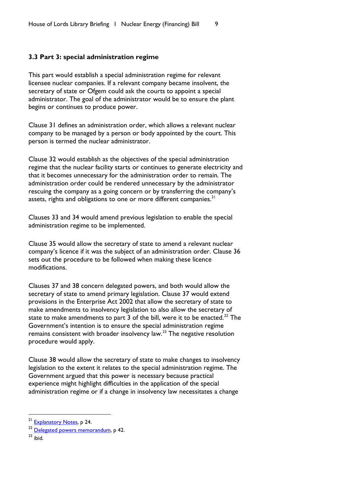#### <span id="page-10-0"></span>**3.3 Part 3: special administration regime**

This part would establish a special administration regime for relevant licensee nuclear companies. If a relevant company became insolvent, the secretary of state or Ofgem could ask the courts to appoint a special administrator. The goal of the administrator would be to ensure the plant begins or continues to produce power.

Clause 31 defines an administration order, which allows a relevant nuclear company to be managed by a person or body appointed by the court. This person is termed the nuclear administrator.

Clause 32 would establish as the objectives of the special administration regime that the nuclear facility starts or continues to generate electricity and that it becomes unnecessary for the administration order to remain. The administration order could be rendered unnecessary by the administrator rescuing the company as a going concern or by transferring the company's assets, rights and obligations to one or more different companies. $21$ 

Clauses 33 and 34 would amend previous legislation to enable the special administration regime to be implemented.

Clause 35 would allow the secretary of state to amend a relevant nuclear company's licence if it was the subject of an administration order. Clause 36 sets out the procedure to be followed when making these licence modifications.

Clauses 37 and 38 concern delegated powers, and both would allow the secretary of state to amend primary legislation. Clause 37 would extend provisions in the Enterprise Act 2002 that allow the secretary of state to make amendments to insolvency legislation to also allow the secretary of state to make amendments to part  $3$  of the bill, were it to be enacted. $^{22}$  $^{22}$  $^{22}$  The Government's intention is to ensure the special administration regime remains consistent with broader insolvency law. $^{23}$  $^{23}$  $^{23}$  The negative resolution procedure would apply.

Clause 38 would allow the secretary of state to make changes to insolvency legislation to the extent it relates to the special administration regime. The Government argued that this power is necessary because practical experience might highlight difficulties in the application of the special administration regime or if a change in insolvency law necessitates a change

<span id="page-10-3"></span> $23 \overline{\text{ihid}}$ 

<span id="page-10-1"></span><sup>&</sup>lt;sup>21</sup> [Explanatory Notes,](https://bills.parliament.uk/publications/44587/documents/1222) p 24.

<span id="page-10-2"></span><sup>&</sup>lt;sup>22</sup> [Delegated powers memorandum,](https://bills.parliament.uk/publications/44580/documents/1216) p 42.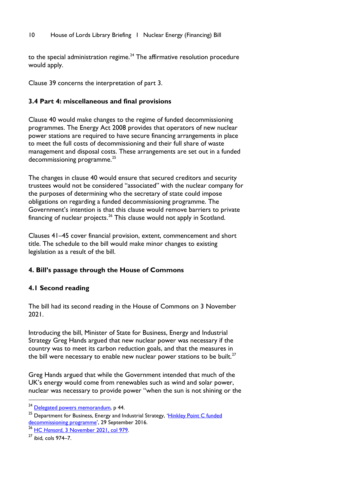<span id="page-11-0"></span>to the special administration regime.<sup>[24](#page-11-4)</sup> The affirmative resolution procedure would apply.

Clause 39 concerns the interpretation of part 3.

# <span id="page-11-1"></span>**3.4 Part 4: miscellaneous and final provisions**

Clause 40 would make changes to the regime of funded decommissioning programmes. The Energy Act 2008 provides that operators of new nuclear power stations are required to have secure financing arrangements in place to meet the full costs of decommissioning and their full share of waste management and disposal costs. These arrangements are set out in a funded decommissioning programme.<sup>[25](#page-11-5)</sup>

The changes in clause 40 would ensure that secured creditors and security trustees would not be considered "associated" with the nuclear company for the purposes of determining who the secretary of state could impose obligations on regarding a funded decommissioning programme. The Government's intention is that this clause would remove barriers to private financing of nuclear projects.<sup>[26](#page-11-6)</sup> This clause would not apply in Scotland.

Clauses 41–45 cover financial provision, extent, commencement and short title. The schedule to the bill would make minor changes to existing legislation as a result of the bill.

# <span id="page-11-2"></span>**4. Bill's passage through the House of Commons**

#### <span id="page-11-3"></span>**4.1 Second reading**

The bill had its second reading in the House of Commons on 3 November 2021.

Introducing the bill, Minister of State for Business, Energy and Industrial Strategy Greg Hands argued that new nuclear power was necessary if the country was to meet its carbon reduction goals, and that the measures in the bill were necessary to enable new nuclear power stations to be built. $^{27}$  $^{27}$  $^{27}$ 

Greg Hands argued that while the Government intended that much of the UK's energy would come from renewables such as wind and solar power, nuclear was necessary to provide power "when the sun is not shining or the

<span id="page-11-4"></span><sup>&</sup>lt;sup>24</sup> [Delegated powers memorandum,](https://bills.parliament.uk/publications/44580/documents/1216) p 44.

<span id="page-11-5"></span><sup>&</sup>lt;sup>25</sup> Department for Business, Energy and Industrial Strategy, 'Hinkley Point C funded [decommissioning programme'](https://www.gov.uk/government/publications/hinkley-point-c-funded-decommissioning-programme#:%7E:text=The%20Funded%20Decommissioning%20Programme%20(FDP,of%20these%20costs%20in%20future.), 29 September 2016.

<span id="page-11-6"></span><sup>26</sup> HC *Hansard*[, 3 November 2021, col 979.](https://hansard.parliament.uk/commons/2021-11-03/debates/B5FFA487-74CE-4197-B8AB-3DA3803F3946/NuclearEnergy(Financing)Bill)

<span id="page-11-7"></span><sup>27</sup> ibid, cols 974–7.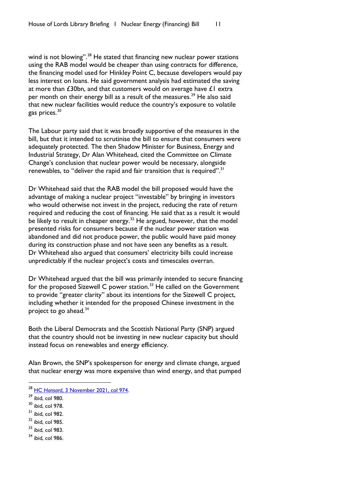wind is not blowing".<sup>[28](#page-12-0)</sup> He stated that financing new nuclear power stations using the RAB model would be cheaper than using contracts for difference, the financing model used for Hinkley Point C, because developers would pay less interest on loans. He said government analysis had estimated the saving at more than £30bn, and that customers would on average have £1 extra per month on their energy bill as a result of the measures.<sup>[29](#page-12-1)</sup> He also said that new nuclear facilities would reduce the country's exposure to volatile gas prices.<sup>[30](#page-12-2)</sup>

The Labour party said that it was broadly supportive of the measures in the bill, but that it intended to scrutinise the bill to ensure that consumers were adequately protected. The then Shadow Minister for Business, Energy and Industrial Strategy, Dr Alan Whitehead, cited the Committee on Climate Change's conclusion that nuclear power would be necessary, alongside renewables, to "deliver the rapid and fair transition that is required".<sup>[31](#page-12-3)</sup>

Dr Whitehead said that the RAB model the bill proposed would have the advantage of making a nuclear project "investable" by bringing in investors who would otherwise not invest in the project, reducing the rate of return required and reducing the cost of financing. He said that as a result it would be likely to result in cheaper energy.<sup>[32](#page-12-4)</sup> He argued, however, that the model presented risks for consumers because if the nuclear power station was abandoned and did not produce power, the public would have paid money during its construction phase and not have seen any benefits as a result. Dr Whitehead also argued that consumers' electricity bills could increase unpredictably if the nuclear project's costs and timescales overran.

Dr Whitehead argued that the bill was primarily intended to secure financing for the proposed Sizewell C power station.<sup>[33](#page-12-5)</sup> He called on the Government to provide "greater clarity" about its intentions for the Sizewell C project, including whether it intended for the proposed Chinese investment in the project to go ahead. $34$ 

Both the Liberal Democrats and the Scottish National Party (SNP) argued that the country should not be investing in new nuclear capacity but should instead focus on renewables and energy efficiency.

Alan Brown, the SNP's spokesperson for energy and climate change, argued that nuclear energy was more expensive than wind energy, and that pumped

- <span id="page-12-2"></span><sup>30</sup> ibid, col 978.
- <span id="page-12-3"></span> $31$  ibid, col 982.
- <span id="page-12-4"></span> $32$  ibid, col 985.
- <span id="page-12-5"></span> $33$  ibid, col 983.
- <span id="page-12-6"></span><sup>34</sup> ibid, col 986.

<span id="page-12-0"></span><sup>&</sup>lt;sup>28</sup> HC *Hansard*, 3 November 2021, col 974.<br><sup>29</sup> ibid, col 980.

<span id="page-12-1"></span>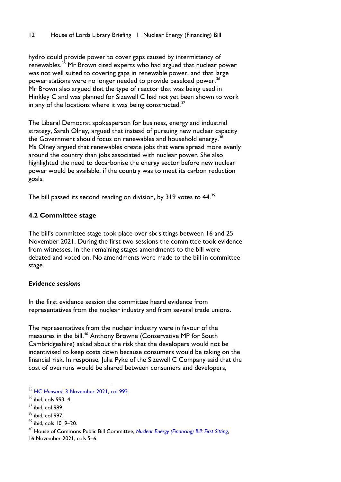hydro could provide power to cover gaps caused by intermittency of renewables.<sup>[35](#page-13-1)</sup> Mr Brown cited experts who had argued that nuclear power was not well suited to covering gaps in renewable power, and that large power stations were no longer needed to provide baseload power.<sup>[36](#page-13-2)</sup> Mr Brown also argued that the type of reactor that was being used in Hinkley C and was planned for Sizewell C had not yet been shown to work in any of the locations where it was being constructed.<sup>[37](#page-13-3)</sup>

The Liberal Democrat spokesperson for business, energy and industrial strategy, Sarah Olney, argued that instead of pursuing new nuclear capacity the Government should focus on renewables and household energy.<sup>[38](#page-13-4)</sup> Ms Olney argued that renewables create jobs that were spread more evenly around the country than jobs associated with nuclear power. She also highlighted the need to decarbonise the energy sector before new nuclear power would be available, if the country was to meet its carbon reduction goals.

The bill passed its second reading on division, by 319 votes to 44.<sup>[39](#page-13-5)</sup>

# <span id="page-13-0"></span>**4.2 Committee stage**

The bill's committee stage took place over six sittings between 16 and 25 November 2021. During the first two sessions the committee took evidence from witnesses. In the remaining stages amendments to the bill were debated and voted on. No amendments were made to the bill in committee stage.

# *Evidence sessions*

In the first evidence session the committee heard evidence from representatives from the nuclear industry and from several trade unions.

The representatives from the nuclear industry were in favour of the measures in the bill. [40](#page-13-6) Anthony Browne (Conservative MP for South Cambridgeshire) asked about the risk that the developers would not be incentivised to keep costs down because consumers would be taking on the financial risk. In response, Julia Pyke of the Sizewell C Company said that the cost of overruns would be shared between consumers and developers,

<span id="page-13-1"></span><sup>35</sup> HC *Hansard*[, 3 November 2021, col 992.](https://hansard.parliament.uk/commons/2021-11-03/debates/B5FFA487-74CE-4197-B8AB-3DA3803F3946/NuclearEnergy(Financing)Bill)

<span id="page-13-2"></span> $36$  ibid, cols 993–4.<br> $37$  ibid, col 989.

<span id="page-13-3"></span>

<span id="page-13-4"></span><sup>38</sup> ibid, col 997.

<span id="page-13-5"></span><sup>39</sup> ibid, cols 1019–20.

<span id="page-13-6"></span><sup>40</sup> House of Commons Public Bill Committee, *[Nuclear Energy \(Financing\) Bill: First Sitting](https://hansard.parliament.uk/pdf/commons/2021-11-16/24c2e867-fa75-47a2-af81-79d1469fe22a)*,

<sup>16</sup> November 2021, cols 5–6.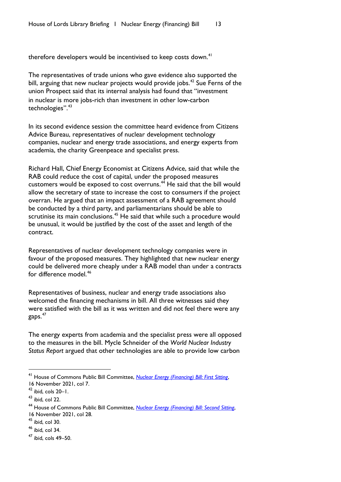therefore developers would be incentivised to keep costs down.<sup>[41](#page-14-0)</sup>

The representatives of trade unions who gave evidence also supported the bill, arguing that new nuclear projects would provide jobs.<sup>[42](#page-14-1)</sup> Sue Ferns of the union Prospect said that its internal analysis had found that "investment in nuclear is more jobs-rich than investment in other low-carbon technologies".[43](#page-14-2)

In its second evidence session the committee heard evidence from Citizens Advice Bureau, representatives of nuclear development technology companies, nuclear and energy trade associations, and energy experts from academia, the charity Greenpeace and specialist press.

Richard Hall, Chief Energy Economist at Citizens Advice, said that while the RAB could reduce the cost of capital, under the proposed measures customers would be exposed to cost overruns.<sup>[44](#page-14-3)</sup> He said that the bill would allow the secretary of state to increase the cost to consumers if the project overran. He argued that an impact assessment of a RAB agreement should be conducted by a third party, and parliamentarians should be able to scrutinise its main conclusions.<sup>[45](#page-14-4)</sup> He said that while such a procedure would be unusual, it would be justified by the cost of the asset and length of the contract.

Representatives of nuclear development technology companies were in favour of the proposed measures. They highlighted that new nuclear energy could be delivered more cheaply under a RAB model than under a contracts for difference model.<sup>[46](#page-14-5)</sup>

Representatives of business, nuclear and energy trade associations also welcomed the financing mechanisms in bill. All three witnesses said they were satisfied with the bill as it was written and did not feel there were any gaps.[47](#page-14-6)

The energy experts from academia and the specialist press were all opposed to the measures in the bill. Mycle Schneider of the *World Nuclear Industry Status Report* argued that other technologies are able to provide low carbon

<span id="page-14-4"></span> $45$  ibid, col 30.

<span id="page-14-0"></span><sup>41</sup> House of Commons Public Bill Committee, *[Nuclear Energy \(Financing\) Bill: First Sitting](https://hansard.parliament.uk/pdf/commons/2021-11-16/24c2e867-fa75-47a2-af81-79d1469fe22a)*, 16 November 2021, col 7.

<span id="page-14-1"></span> $42$  ibid, cols  $20 - 1$ .

<span id="page-14-2"></span> $43$  ibid, col 22.

<span id="page-14-3"></span><sup>44</sup> House of Commons Public Bill Committee, *[Nuclear Energy \(Financing\) Bill: Second](https://hansard.parliament.uk/pdf/commons/2021-11-16/937e0791-42ee-483a-812a-82c06adfc724) Sitting*, 16 November 2021, col 28.

<span id="page-14-5"></span> $46$  ibid, col 34.

<span id="page-14-6"></span><sup>47</sup> ibid, cols 49–50.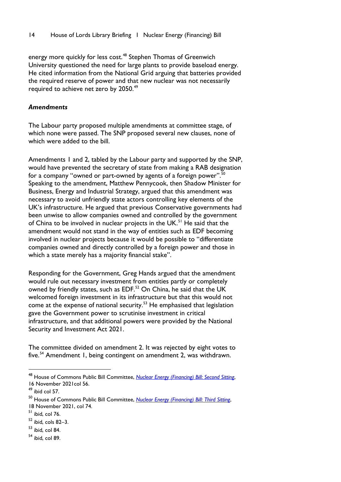energy more quickly for less cost.<sup>[48](#page-15-0)</sup> Stephen Thomas of Greenwich University questioned the need for large plants to provide baseload energy. He cited information from the National Grid arguing that batteries provided the required reserve of power and that new nuclear was not necessarily required to achieve net zero by 2050.<sup>[49](#page-15-1)</sup>

#### *Amendments*

The Labour party proposed multiple amendments at committee stage, of which none were passed. The SNP proposed several new clauses, none of which were added to the bill.

Amendments 1 and 2, tabled by the Labour party and supported by the SNP, would have prevented the secretary of state from making a RAB designation for a company "owned or part-owned by agents of a foreign power".<sup>50</sup> Speaking to the amendment, Matthew Pennycook, then Shadow Minister for Business, Energy and Industrial Strategy, argued that this amendment was necessary to avoid unfriendly state actors controlling key elements of the UK's infrastructure. He argued that previous Conservative governments had been unwise to allow companies owned and controlled by the government of China to be involved in nuclear projects in the UK.<sup>[51](#page-15-3)</sup> He said that the amendment would not stand in the way of entities such as EDF becoming involved in nuclear projects because it would be possible to "differentiate companies owned and directly controlled by a foreign power and those in which a state merely has a majority financial stake".

Responding for the Government, Greg Hands argued that the amendment would rule out necessary investment from entities partly or completely owned by friendly states, such as EDF.<sup>[52](#page-15-4)</sup> On China, he said that the UK welcomed foreign investment in its infrastructure but that this would not come at the expense of national security.<sup>[53](#page-15-5)</sup> He emphasised that legislation gave the Government power to scrutinise investment in critical infrastructure, and that additional powers were provided by the National Security and Investment Act 2021.

The committee divided on amendment 2. It was rejected by eight votes to five.<sup>[54](#page-15-6)</sup> Amendment 1, being contingent on amendment 2, was withdrawn.

<span id="page-15-6"></span><sup>54</sup> ibid, col 89.

<span id="page-15-0"></span><sup>48</sup> House of Commons Public Bill Committee, *[Nuclear Energy \(Financing\) Bill: Second](https://hansard.parliament.uk/pdf/commons/2021-11-16/937e0791-42ee-483a-812a-82c06adfc724) Sitting*, 16 November 2021col 56.

<span id="page-15-1"></span> $49$  ibid col 57.

<span id="page-15-2"></span><sup>50</sup> House of Commons Public Bill Committee, *[Nuclear Energy \(Financing\) Bill: Third](https://hansard.parliament.uk/pdf/commons/2021-11-18/c7731d1e-3bce-4600-8727-4f874e10e6dc) Sitting*, 18 November 2021, col 74.

<span id="page-15-3"></span> $<sup>51</sup>$  ibid, col 76.</sup>

<span id="page-15-4"></span><sup>52</sup> ibid, cols 82–3.

<span id="page-15-5"></span> $53$  ibid, col 84.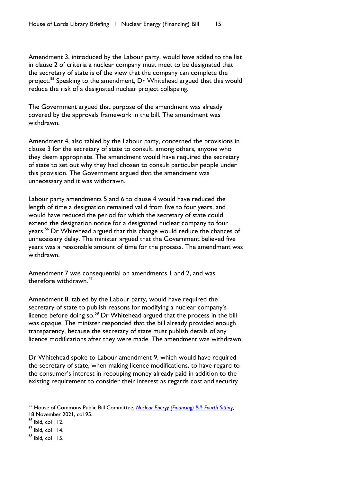Amendment 3, introduced by the Labour party, would have added to the list in clause 2 of criteria a nuclear company must meet to be designated that the secretary of state is of the view that the company can complete the project.<sup>[55](#page-16-0)</sup> Speaking to the amendment, Dr Whitehead argued that this would reduce the risk of a designated nuclear project collapsing.

The Government argued that purpose of the amendment was already covered by the approvals framework in the bill. The amendment was withdrawn.

Amendment 4, also tabled by the Labour party, concerned the provisions in clause 3 for the secretary of state to consult, among others, anyone who they deem appropriate. The amendment would have required the secretary of state to set out why they had chosen to consult particular people under this provision. The Government argued that the amendment was unnecessary and it was withdrawn.

Labour party amendments 5 and 6 to clause 4 would have reduced the length of time a designation remained valid from five to four years, and would have reduced the period for which the secretary of state could extend the designation notice for a designated nuclear company to four years.[56](#page-16-1) Dr Whitehead argued that this change would reduce the chances of unnecessary delay. The minister argued that the Government believed five years was a reasonable amount of time for the process. The amendment was withdrawn.

Amendment 7 was consequential on amendments 1 and 2, and was therefore withdrawn $57$ 

Amendment 8, tabled by the Labour party, would have required the secretary of state to publish reasons for modifying a nuclear company's licence before doing so.<sup>[58](#page-16-3)</sup> Dr Whitehead argued that the process in the bill was opaque. The minister responded that the bill already provided enough transparency, because the secretary of state must publish details of any licence modifications after they were made. The amendment was withdrawn.

Dr Whitehead spoke to Labour amendment 9, which would have required the secretary of state, when making licence modifications, to have regard to the consumer's interest in recouping money already paid in addition to the existing requirement to consider their interest as regards cost and security

<span id="page-16-0"></span><sup>55</sup> House of Commons Public Bill Committee, *[Nuclear Energy \(Financing\) Bill: Fourth](https://hansard.parliament.uk/pdf/commons/2021-11-18/9b248f1d-f253-48a9-af97-9b4899c8c937) Sitting*, 18 November 2021, col 95.

<span id="page-16-1"></span> $56$  ibid, col 112.

<span id="page-16-2"></span> $57$  ibid, col 114.

<span id="page-16-3"></span><sup>58</sup> ibid, col 115.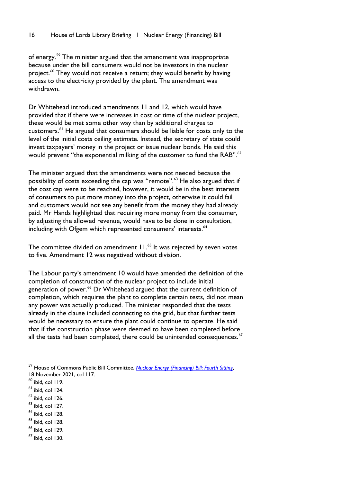of energy.<sup>59</sup> The minister argued that the amendment was inappropriate because under the bill consumers would not be investors in the nuclear project.<sup>[60](#page-17-1)</sup> They would not receive a return; they would benefit by having access to the electricity provided by the plant. The amendment was withdrawn.

Dr Whitehead introduced amendments 11 and 12, which would have provided that if there were increases in cost or time of the nuclear project, these would be met some other way than by additional charges to customers.[61](#page-17-2) He argued that consumers should be liable for costs only to the level of the initial costs ceiling estimate. Instead, the secretary of state could invest taxpayers' money in the project or issue nuclear bonds. He said this would prevent "the exponential milking of the customer to fund the RAB".<sup>[62](#page-17-3)</sup>

The minister argued that the amendments were not needed because the possibility of costs exceeding the cap was "remote".<sup>[63](#page-17-4)</sup> He also argued that if the cost cap were to be reached, however, it would be in the best interests of consumers to put more money into the project, otherwise it could fail and customers would not see any benefit from the money they had already paid. Mr Hands highlighted that requiring more money from the consumer, by adjusting the allowed revenue, would have to be done in consultation, including with Ofgem which represented consumers' interests.<sup>[64](#page-17-5)</sup>

The committee divided on amendment 11. [65](#page-17-6) It was rejected by seven votes to five. Amendment 12 was negatived without division.

The Labour party's amendment 10 would have amended the definition of the completion of construction of the nuclear project to include initial generation of power.<sup>[66](#page-17-7)</sup> Dr Whitehead argued that the current definition of completion, which requires the plant to complete certain tests, did not mean any power was actually produced. The minister responded that the tests already in the clause included connecting to the grid, but that further tests would be necessary to ensure the plant could continue to operate. He said that if the construction phase were deemed to have been completed before all the tests had been completed, there could be unintended consequences. $67$ 

- <span id="page-17-4"></span> $<sup>63</sup>$  ibid, col 127.</sup>
- <span id="page-17-5"></span> $<sup>64</sup>$  ibid, col 128.</sup>
- <span id="page-17-6"></span> $<sup>65</sup>$  ibid, col 128.</sup>
- <span id="page-17-7"></span> $66$  ibid, col 129.

<span id="page-17-0"></span><sup>59</sup> House of Commons Public Bill Committee, *[Nuclear Energy \(Financing\) Bill: Fourth](https://hansard.parliament.uk/pdf/commons/2021-11-18/9b248f1d-f253-48a9-af97-9b4899c8c937) Sitting*, 18 November 2021, col 117.

<span id="page-17-1"></span> $60$  ibid, col 119.

<span id="page-17-2"></span> $<sup>61</sup>$  ibid, col 124.</sup>

<span id="page-17-3"></span> $62$  ibid, col 126.

<span id="page-17-8"></span> $67$  ibid, col 130.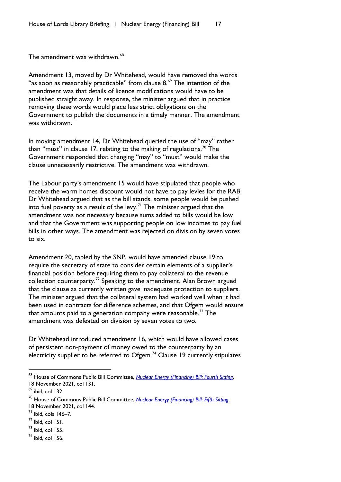The amendment was withdrawn.<sup>[68](#page-18-0)</sup>

Amendment 13, moved by Dr Whitehead, would have removed the words "as soon as reasonably practicable" from clause 8.<sup>[69](#page-18-1)</sup> The intention of the amendment was that details of licence modifications would have to be published straight away. In response, the minister argued that in practice removing these words would place less strict obligations on the Government to publish the documents in a timely manner. The amendment was withdrawn.

In moving amendment 14, Dr Whitehead queried the use of "may" rather than "must" in clause 17, relating to the making of regulations.<sup>[70](#page-18-2)</sup> The Government responded that changing "may" to "must" would make the clause unnecessarily restrictive. The amendment was withdrawn.

The Labour party's amendment 15 would have stipulated that people who receive the warm homes discount would not have to pay levies for the RAB. Dr Whitehead argued that as the bill stands, some people would be pushed into fuel poverty as a result of the levy.<sup>[71](#page-18-3)</sup> The minister argued that the amendment was not necessary because sums added to bills would be low and that the Government was supporting people on low incomes to pay fuel bills in other ways. The amendment was rejected on division by seven votes to six.

Amendment 20, tabled by the SNP, would have amended clause 19 to require the secretary of state to consider certain elements of a supplier's financial position before requiring them to pay collateral to the revenue collection counterparty.<sup>[72](#page-18-4)</sup> Speaking to the amendment, Alan Brown argued that the clause as currently written gave inadequate protection to suppliers. The minister argued that the collateral system had worked well when it had been used in contracts for difference schemes, and that Ofgem would ensure that amounts paid to a generation company were reasonable.<sup>[73](#page-18-5)</sup> The amendment was defeated on division by seven votes to two.

Dr Whitehead introduced amendment 16, which would have allowed cases of persistent non-payment of money owed to the counterparty by an electricity supplier to be referred to Ofgem.<sup>[74](#page-18-6)</sup> Clause 19 currently stipulates

<span id="page-18-0"></span><sup>68</sup> House of Commons Public Bill Committee, *[Nuclear Energy \(Financing\) Bill: Fourth](https://hansard.parliament.uk/pdf/commons/2021-11-18/9b248f1d-f253-48a9-af97-9b4899c8c937) Sitting*, 18 November 2021, col 131.

<span id="page-18-1"></span> $69$  ibid, col 132.

<span id="page-18-2"></span><sup>70</sup> House of Commons Public Bill Committee, *[Nuclear Energy \(Financing\) Bill: Fifth](https://hansard.parliament.uk/pdf/commons/2021-11-23/ddd1853e-2fd1-4658-bc88-cb5eeaf0e687) Sitting*, 18 November 2021, col 144.

<span id="page-18-3"></span> $<sup>71</sup>$  ibid, cols 146-7.</sup>

<span id="page-18-4"></span> $72$  ibid, col 151.

<span id="page-18-5"></span> $^{73}$  ibid, col 155.

<span id="page-18-6"></span> $74$  ibid, col 156.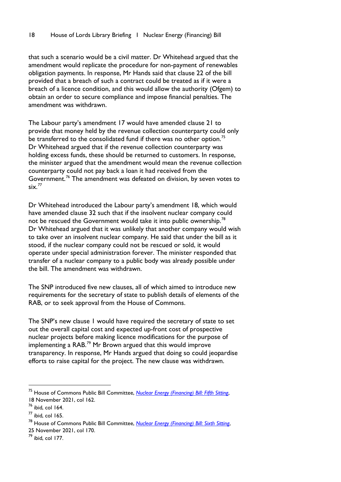that such a scenario would be a civil matter. Dr Whitehead argued that the amendment would replicate the procedure for non-payment of renewables obligation payments. In response, Mr Hands said that clause 22 of the bill provided that a breach of such a contract could be treated as if it were a breach of a licence condition, and this would allow the authority (Ofgem) to obtain an order to secure compliance and impose financial penalties. The amendment was withdrawn.

The Labour party's amendment 17 would have amended clause 21 to provide that money held by the revenue collection counterparty could only be transferred to the consolidated fund if there was no other option.<sup>[75](#page-19-0)</sup> Dr Whitehead argued that if the revenue collection counterparty was holding excess funds, these should be returned to customers. In response, the minister argued that the amendment would mean the revenue collection counterparty could not pay back a loan it had received from the Government.<sup>[76](#page-19-1)</sup> The amendment was defeated on division, by seven votes to six. [77](#page-19-2)

Dr Whitehead introduced the Labour party's amendment 18, which would have amended clause 32 such that if the insolvent nuclear company could not be rescued the Government would take it into public ownership.<sup>[78](#page-19-3)</sup> Dr Whitehead argued that it was unlikely that another company would wish to take over an insolvent nuclear company. He said that under the bill as it stood, if the nuclear company could not be rescued or sold, it would operate under special administration forever. The minister responded that transfer of a nuclear company to a public body was already possible under the bill. The amendment was withdrawn.

The SNP introduced five new clauses, all of which aimed to introduce new requirements for the secretary of state to publish details of elements of the RAB, or to seek approval from the House of Commons.

The SNP's new clause 1 would have required the secretary of state to set out the overall capital cost and expected up-front cost of prospective nuclear projects before making licence modifications for the purpose of implementing a RAB. [79](#page-19-4) Mr Brown argued that this would improve transparency. In response, Mr Hands argued that doing so could jeopardise efforts to raise capital for the project. The new clause was withdrawn.

<span id="page-19-0"></span><sup>75</sup> House of Commons Public Bill Committee, *[Nuclear Energy \(Financing\) Bill: Fifth](https://hansard.parliament.uk/pdf/commons/2021-11-23/ddd1853e-2fd1-4658-bc88-cb5eeaf0e687) Sitting*, 18 November 2021, col 162.

<span id="page-19-1"></span><sup>76</sup> ibid, col 164.

<span id="page-19-2"></span> $77$  ibid, col 165.

<span id="page-19-3"></span><sup>78</sup> House of Commons Public Bill Committee, *[Nuclear Energy \(Financing\) Bill: Sixth Sitting](https://hansard.parliament.uk/pdf/commons/2021-11-25/6f1914b3-6672-47c8-81eb-f58024411e62)*,

<sup>25</sup> November 2021, col 170.

<span id="page-19-4"></span><sup>79</sup> ibid, col 177.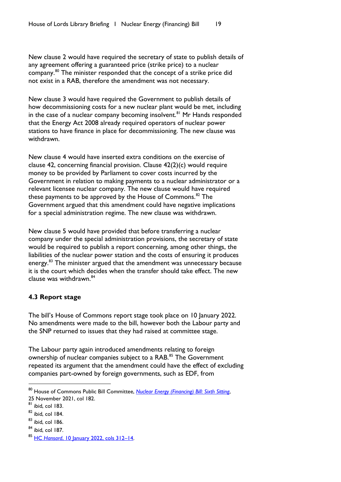New clause 2 would have required the secretary of state to publish details of any agreement offering a guaranteed price (strike price) to a nuclear company. [80](#page-20-1) The minister responded that the concept of a strike price did not exist in a RAB, therefore the amendment was not necessary.

New clause 3 would have required the Government to publish details of how decommissioning costs for a new nuclear plant would be met, including in the case of a nuclear company becoming insolvent. [81](#page-20-2) Mr Hands responded that the Energy Act 2008 already required operators of nuclear power stations to have finance in place for decommissioning. The new clause was withdrawn.

New clause 4 would have inserted extra conditions on the exercise of clause 42, concerning financial provision. Clause 42(2)(c) would require money to be provided by Parliament to cover costs incurred by the Government in relation to making payments to a nuclear administrator or a relevant licensee nuclear company. The new clause would have required these payments to be approved by the House of Commons.<sup>[82](#page-20-3)</sup> The Government argued that this amendment could have negative implications for a special administration regime. The new clause was withdrawn.

New clause 5 would have provided that before transferring a nuclear company under the special administration provisions, the secretary of state would be required to publish a report concerning, among other things, the liabilities of the nuclear power station and the costs of ensuring it produces energy.<sup>[83](#page-20-4)</sup> The minister argued that the amendment was unnecessary because it is the court which decides when the transfer should take effect. The new clause was withdrawn. [84](#page-20-5)

# <span id="page-20-0"></span>**4.3 Report stage**

The bill's House of Commons report stage took place on 10 January 2022. No amendments were made to the bill, however both the Labour party and the SNP returned to issues that they had raised at committee stage.

The Labour party again introduced amendments relating to foreign ownership of nuclear companies subject to a RAB.<sup>[85](#page-20-6)</sup> The Government repeated its argument that the amendment could have the effect of excluding companies part-owned by foreign governments, such as EDF, from

<span id="page-20-5"></span> $84$  ibid, col 187.

<span id="page-20-1"></span><sup>80</sup> House of Commons Public Bill Committee, *[Nuclear Energy \(Financing\) Bill: Sixth Sitting](https://hansard.parliament.uk/pdf/commons/2021-11-25/6f1914b3-6672-47c8-81eb-f58024411e62)*, 25 November 2021, col 182.

<span id="page-20-2"></span> $81$  ibid, col 183.

<span id="page-20-3"></span> $82$  ibid, col 184.

<span id="page-20-4"></span> $83$  ibid, col 186.

<span id="page-20-6"></span><sup>85</sup> HC *Hansard*[, 10 January 2022, cols 312–14.](https://hansard.parliament.uk/commons/2022-01-10/debates/9520D9D8-A690-47D6-BE4C-EEB6547EDF21/NuclearEnergy(Financing)Bill)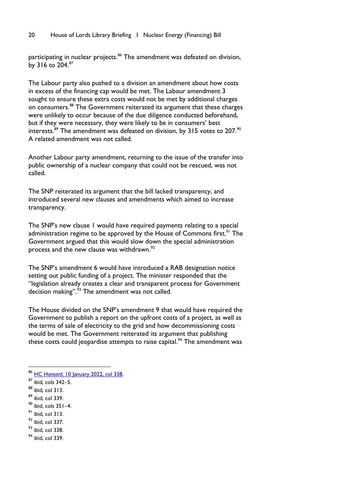#### 20 House of Lords Library Briefing | Nuclear Energy (Financing) Bill

participating in nuclear projects.<sup>[86](#page-21-0)</sup> The amendment was defeated on division, by 316 to  $204.^{87}$  $204.^{87}$  $204.^{87}$ 

The Labour party also pushed to a division an amendment about how costs in excess of the financing cap would be met. The Labour amendment 3 sought to ensure these extra costs would not be met by additional charges on consumers.<sup>[88](#page-21-2)</sup> The Government reiterated its argument that these charges were unlikely to occur because of the due diligence conducted beforehand, but if they were necessary, they were likely to be in consumers' best interests.<sup>[89](#page-21-3)</sup> The amendment was defeated on division, by 315 votes to 207.<sup>[90](#page-21-4)</sup> A related amendment was not called.

Another Labour party amendment, returning to the issue of the transfer into public ownership of a nuclear company that could not be rescued, was not called.

The SNP reiterated its argument that the bill lacked transparency, and introduced several new clauses and amendments which aimed to increase transparency.

The SNP's new clause 1 would have required payments relating to a special administration regime to be approved by the House of Commons first.<sup>[91](#page-21-5)</sup> The Government argued that this would slow down the special administration process and the new clause was withdrawn.<sup>[92](#page-21-6)</sup>

The SNP's amendment 6 would have introduced a RAB designation notice setting out public funding of a project. The minister responded that the "legislation already creates a clear and transparent process for Government decision making".<sup>[93](#page-21-7)</sup> The amendment was not called.

The House divided on the SNP's amendment 9 that would have required the Government to publish a report on the upfront costs of a project, as well as the terms of sale of electricity to the grid and how decommissioning costs would be met. The Government reiterated its argument that publishing these costs could jeopardise attempts to raise capital.<sup>[94](#page-21-8)</sup> The amendment was

- <span id="page-21-4"></span> $90$  ibid, cols  $351-4$ .
- <span id="page-21-5"></span> $91$  ibid, col 313.
- <span id="page-21-6"></span> $92$  ibid, col 337.
- <span id="page-21-7"></span> $93$  ibid, col 338.
- <span id="page-21-8"></span> $94$  ibid, col 339.

<span id="page-21-0"></span><sup>86</sup> HC *Hansard*[, 10 January 2022, col 33](https://hansard.parliament.uk/commons/2022-01-10/debates/9520D9D8-A690-47D6-BE4C-EEB6547EDF21/NuclearEnergy(Financing)Bill)8.

<span id="page-21-1"></span><sup>87</sup> ibid, cols 342–5.

<span id="page-21-2"></span><sup>88</sup> ibid, col 313.

<span id="page-21-3"></span> $89$  ibid, col 339.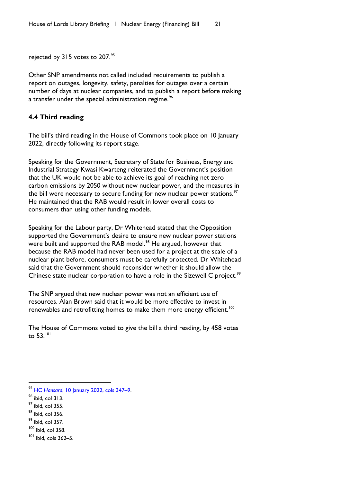rejected by 315 votes to 207.<sup>[95](#page-22-1)</sup>

Other SNP amendments not called included requirements to publish a report on outages, longevity, safety, penalties for outages over a certain number of days at nuclear companies, and to publish a report before making a transfer under the special administration regime.<sup>[96](#page-22-2)</sup>

#### <span id="page-22-0"></span>**4.4 Third reading**

The bill's third reading in the House of Commons took place on 10 January 2022, directly following its report stage.

Speaking for the Government, Secretary of State for Business, Energy and Industrial Strategy Kwasi Kwarteng reiterated the Government's position that the UK would not be able to achieve its goal of reaching net zero carbon emissions by 2050 without new nuclear power, and the measures in the bill were necessary to secure funding for new nuclear power stations. $\frac{97}{10}$  $\frac{97}{10}$  $\frac{97}{10}$ He maintained that the RAB would result in lower overall costs to consumers than using other funding models.

Speaking for the Labour party, Dr Whitehead stated that the Opposition supported the Government's desire to ensure new nuclear power stations were built and supported the RAB model.<sup>[98](#page-22-4)</sup> He argued, however that because the RAB model had never been used for a project at the scale of a nuclear plant before, consumers must be carefully protected. Dr Whitehead said that the Government should reconsider whether it should allow the Chinese state nuclear corporation to have a role in the Sizewell C project.<sup>[99](#page-22-5)</sup>

The SNP argued that new nuclear power was not an efficient use of resources. Alan Brown said that it would be more effective to invest in renewables and retrofitting homes to make them more energy efficient.<sup>[100](#page-22-6)</sup>

The House of Commons voted to give the bill a third reading, by 458 votes to 53.[101](#page-22-7)

- <span id="page-22-5"></span> $<sup>99</sup>$  ibid, col 357.</sup>
- <span id="page-22-6"></span> $100$  ibid, col 358.

<span id="page-22-1"></span><sup>95</sup> HC *Hansard*[, 10 January 2022, cols](https://hansard.parliament.uk/commons/2022-01-10/debates/9520D9D8-A690-47D6-BE4C-EEB6547EDF21/NuclearEnergy(Financing)Bill) 347–9.

<span id="page-22-2"></span> $96$  ibid, col  $313$ .

<span id="page-22-3"></span> $97$  ibid, col 355.

<span id="page-22-4"></span> $98$  ibid, col 356.

<span id="page-22-7"></span><sup>101</sup> ibid, cols 362–5.